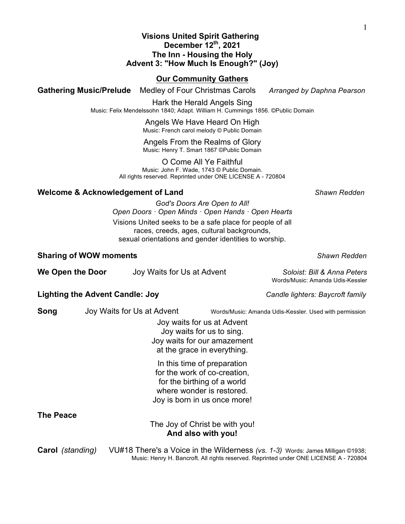#### **Visions United Spirit Gathering December 12th, 2021 The Inn - Housing the Holy Advent 3: "How Much Is Enough?" (Joy)**

## **Our Community Gathers**

**Gathering Music/Prelude** Medley of Four Christmas Carols *Arranged by Daphna Pearson*

Hark the Herald Angels Sing Music: Felix Mendelssohn 1840; Adapt. William H. Cummings 1856. ©Public Domain

> Angels We Have Heard On High Music: French carol melody © Public Domain

#### Angels From the Realms of Glory Music: Henry T. Smart 1867 ©Public Domain

O Come All Ye Faithful Music: John F. Wade, 1743 © Public Domain. All rights reserved. Reprinted under ONE LICENSE A - 720804

## **Welcome & Acknowledgement of Land** *Shawn Redden*

Words/Music: Amanda Udis-Kessler

*God's Doors Are Open to All! Open Doors · Open Minds · Open Hands · Open Hearts* Visions United seeks to be a safe place for people of all races, creeds, ages, cultural backgrounds, sexual orientations and gender identities to worship.

## **Sharing of WOW moments** *Shawn Redden*

**We Open the Door** Joy Waits for Us at Advent *Soloist: Bill & Anna Peters* 

## **Lighting the Advent Candle: Joy** *Candle lighters: Baycroft family*

**Song** Joy Waits for Us at Advent Words/Music: Amanda Udis-Kessler. Used with permission

Joy waits for us at Advent Joy waits for us to sing. Joy waits for our amazement at the grace in everything.

In this time of preparation for the work of co-creation, for the birthing of a world where wonder is restored. Joy is born in us once more!

#### **The Peace**

The Joy of Christ be with you! **And also with you!**

**Carol** *(standing)* VU#18 There's a Voice in the Wilderness *(vs. 1-3)* Words: James Milligan ©1938; Music: Henry H. Bancroft. All rights reserved. Reprinted under ONE LICENSE A - 720804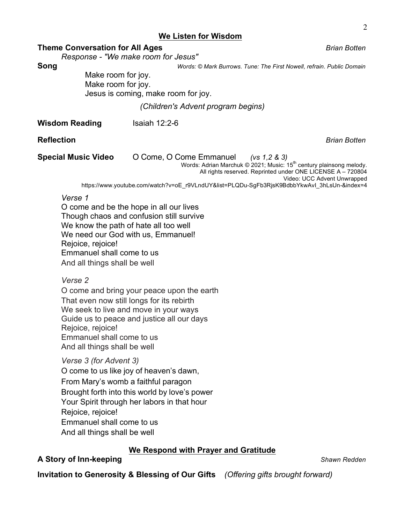#### **We Listen for Wisdom**

#### **Theme Conversation for All Ages** *Brian Botten*

*Response - "We make room for Jesus"*

**Song** *Words: © Mark Burrows. Tune: The First Nowell, refrain. Public Domain* 

Make room for joy. Make room for joy. Jesus is coming, make room for joy.

*(Children's Advent program begins)*

**Wisdom Reading** Isaiah 12:2-6

**Reflection** *Brian Botten*

**Special Music Video** O Come, O Come Emmanuel*(vs 1,2 & 3)*

Words: Adrian Marchuk © 2021; Music: 15<sup>th</sup> century plainsong melody.

All rights reserved. Reprinted under ONE LICENSE A – 720804

Video: UCC Advent Unwrapped

https://www.youtube.com/watch?v=oE\_r9VLndUY&list=PLQDu-SgFb3RjsK9BdbbYkwAvI\_3hLsUn-&index=4

#### *Verse 1*

O come and be the hope in all our lives Though chaos and confusion still survive We know the path of hate all too well We need our God with us, Emmanuel! Rejoice, rejoice! Emmanuel shall come to us And all things shall be well

#### *Verse 2*

O come and bring your peace upon the earth That even now still longs for its rebirth We seek to live and move in your ways Guide us to peace and justice all our days Rejoice, rejoice! Emmanuel shall come to us And all things shall be well

*Verse 3 (for Advent 3)*

O come to us like joy of heaven's dawn, From Mary's womb a faithful paragon

Brought forth into this world by love's power

Your Spirit through her labors in that hour

Rejoice, rejoice!

Emmanuel shall come to us

And all things shall be well

# **We Respond with Prayer and Gratitude**

## **A Story of Inn-keeping** *Shawn Redden*

**Invitation to Generosity & Blessing of Our Gifts** *(Offering gifts brought forward)*